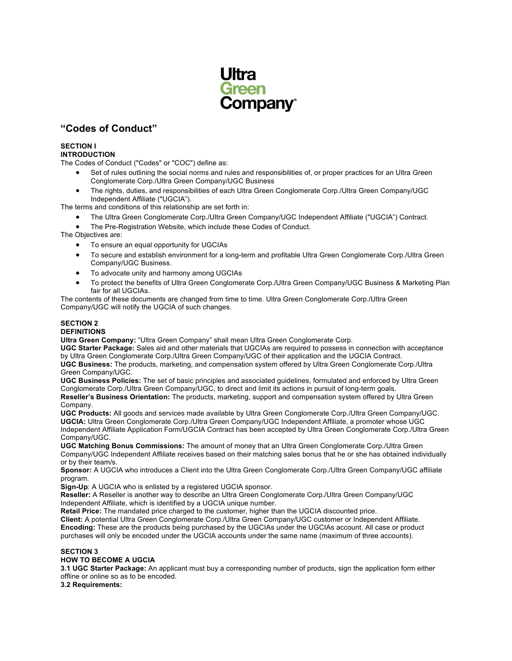

# **"Codes of Conduct"**

# **SECTION I**

**INTRODUCTION**

The Codes of Conduct ("Codes" or "COC") define as:

- Set of rules outlining the social norms and rules and responsibilities of, or proper practices for an Ultra Green Conglomerate Corp./Ultra Green Company/UGC Business
- The rights, duties, and responsibilities of each Ultra Green Conglomerate Corp./Ultra Green Company/UGC Independent Affiliate ("UGCIA").

The terms and conditions of this relationship are set forth in:

- The Ultra Green Conglomerate Corp./Ultra Green Company/UGC Independent Affiliate ("UGCIA") Contract.
- The Pre-Registration Website, which include these Codes of Conduct.

The Objectives are:

- To ensure an equal opportunity for UGCIAs
- To secure and establish environment for a long-term and profitable Ultra Green Conglomerate Corp./Ultra Green Company/UGC Business.
- To advocate unity and harmony among UGCIAs
- To protect the benefits of Ultra Green Conglomerate Corp./Ultra Green Company/UGC Business & Marketing Plan fair for all UGCIAs.

The contents of these documents are changed from time to time. Ultra Green Conglomerate Corp./Ultra Green Company/UGC will notify the UGCIA of such changes.

# **SECTION 2**

# **DEFINITIONS**

**Ultra Green Company:** "Ultra Green Company" shall mean Ultra Green Conglomerate Corp.

**UGC Starter Package:** Sales aid and other materials that UGCIAs are required to possess in connection with acceptance by Ultra Green Conglomerate Corp./Ultra Green Company/UGC of their application and the UGCIA Contract. **UGC Business:** The products, marketing, and compensation system offered by Ultra Green Conglomerate Corp./Ultra Green Company/UGC.

**UGC Business Policies:** The set of basic principles and associated guidelines, formulated and enforced by Ultra Green Conglomerate Corp./Ultra Green Company/UGC, to direct and limit its actions in pursuit of long-term goals.

**Reseller's Business Orientation:** The products, marketing, support and compensation system offered by Ultra Green Company.

**UGC Products:** All goods and services made available by Ultra Green Conglomerate Corp./Ultra Green Company/UGC. **UGCIA:** Ultra Green Conglomerate Corp./Ultra Green Company/UGC Independent Affiliate, a promoter whose UGC Independent Affiliate Application Form/UGCIA Contract has been accepted by Ultra Green Conglomerate Corp./Ultra Green Company/UGC.

**UGC Matching Bonus Commissions:** The amount of money that an Ultra Green Conglomerate Corp./Ultra Green Company/UGC Independent Affiliate receives based on their matching sales bonus that he or she has obtained individually or by their team/s.

**Sponsor:** A UGCIA who introduces a Client into the Ultra Green Conglomerate Corp./Ultra Green Company/UGC affiliate program.

**Sign-Up**: A UGCIA who is enlisted by a registered UGCIA sponsor.

**Reseller:** A Reseller is another way to describe an Ultra Green Conglomerate Corp./Ultra Green Company/UGC Independent Affiliate, which is identified by a UGCIA unique number.

**Retail Price:** The mandated price charged to the customer, higher than the UGCIA discounted price.

**Client:** A potential Ultra Green Conglomerate Corp./Ultra Green Company/UGC customer or Independent Affiliate. **Encoding:** These are the products being purchased by the UGCIAs under the UGCIAs account. All case or product purchases will only be encoded under the UGCIA accounts under the same name (maximum of three accounts).

## **SECTION 3 HOW TO BECOME A UGCIA**

**3.1 UGC Starter Package:** An applicant must buy a corresponding number of products, sign the application form either offline or online so as to be encoded.

**3.2 Requirements:**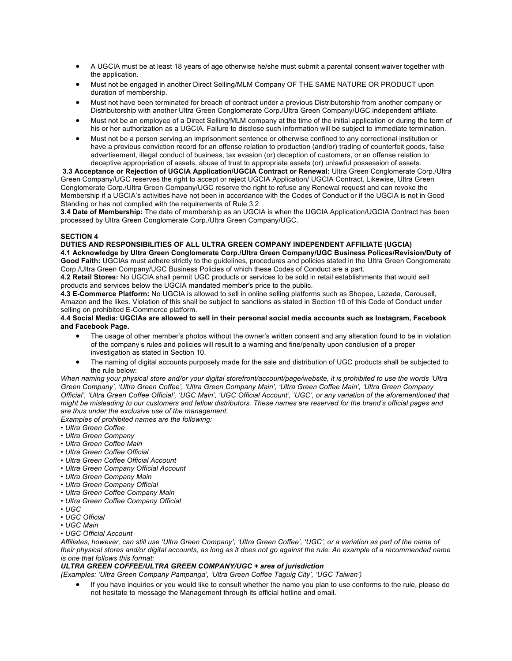- A UGCIA must be at least 18 years of age otherwise he/she must submit a parental consent waiver together with the application.
- Must not be engaged in another Direct Selling/MLM Company OF THE SAME NATURE OR PRODUCT upon duration of membership.
- Must not have been terminated for breach of contract under a previous Distributorship from another company or Distributorship with another Ultra Green Conglomerate Corp./Ultra Green Company/UGC independent affiliate.
- Must not be an employee of a Direct Selling/MLM company at the time of the initial application or during the term of his or her authorization as a UGCIA. Failure to disclose such information will be subject to immediate termination.
- Must not be a person serving an imprisonment sentence or otherwise confined to any correctional institution or have a previous conviction record for an offense relation to production (and/or) trading of counterfeit goods, false advertisement, illegal conduct of business, tax evasion (or) deception of customers, or an offense relation to deceptive appropriation of assets, abuse of trust to appropriate assets (or) unlawful possession of assets.

**3.3 Acceptance or Rejection of UGCIA Application/UGCIA Contract or Renewal:** Ultra Green Conglomerate Corp./Ultra Green Company/UGC reserves the right to accept or reject UGCIA Application/ UGCIA Contract. Likewise, Ultra Green Conglomerate Corp./Ultra Green Company/UGC reserve the right to refuse any Renewal request and can revoke the Membership if a UGCIA's activities have not been in accordance with the Codes of Conduct or if the UGCIA is not in Good Standing or has not complied with the requirements of Rule 3.2

**3.4 Date of Membership:** The date of membership as an UGCIA is when the UGCIA Application/UGCIA Contract has been processed by Ultra Green Conglomerate Corp./Ultra Green Company/UGC.

# **SECTION 4**

# **DUTIES AND RESPONSIBILITIES OF ALL ULTRA GREEN COMPANY INDEPENDENT AFFILIATE (UGCIA)**

**4.1 Acknowledge by Ultra Green Conglomerate Corp./Ultra Green Company/UGC Business Polices/Revision/Duty of Good Faith:** UGCIAs must adhere strictly to the guidelines, procedures and policies stated in the Ultra Green Conglomerate Corp./Ultra Green Company/UGC Business Policies of which these Codes of Conduct are a part.

**4.2 Retail Stores:** No UGCIA shall permit UGC products or services to be sold in retail establishments that would sell products and services below the UGCIA mandated member's price to the public.

**4.3 E-Commerce Platform:** No UGCIA is allowed to sell in online selling platforms such as Shopee, Lazada, Carousell, Amazon and the likes. Violation of this shall be subject to sanctions as stated in Section 10 of this Code of Conduct under selling on prohibited E-Commerce platform.

## **4.4 Social Media: UGCIAs are allowed to sell in their personal social media accounts such as Instagram, Facebook and Facebook Page.**

- The usage of other member's photos without the owner's written consent and any alteration found to be in violation of the company's rules and policies will result to a warning and fine/penalty upon conclusion of a proper investigation as stated in Section 10.
- The naming of digital accounts purposely made for the sale and distribution of UGC products shall be subjected to the rule below:

*When naming your physical store and/or your digital storefront/account/page/website, it is prohibited to use the words 'Ultra Green Company', 'Ultra Green Coffee', 'Ultra Green Company Main', 'Ultra Green Coffee Main', 'Ultra Green Company Official', 'Ultra Green Coffee Official', 'UGC Main', 'UGC Official Account', 'UGC', or any variation of the aforementioned that might be misleading to our customers and fellow distributors. These names are reserved for the brand's official pages and are thus under the exclusive use of the management.*

*Examples of prohibited names are the following:*

- *Ultra Green Coffee*
- *Ultra Green Company*
- *Ultra Green Coffee Main*
- *Ultra Green Coffee Official*
- *Ultra Green Coffee Official Account*
- *Ultra Green Company Official Account*
- *Ultra Green Company Main*
- *Ultra Green Company Official*
- *Ultra Green Coffee Company Main*
- *Ultra Green Coffee Company Official*
- *UGC*
- *UGC Official*
- *UGC Main*
- *UGC Official Account*

*Affiliates, however, can still use 'Ultra Green Company', 'Ultra Green Coffee', 'UGC', or a variation as part of the name of their physical stores and/or digital accounts, as long as it does not go against the rule. An example of a recommended name is one that follows this format:*

## *ULTRA GREEN COFFEE/ULTRA GREEN COMPANY/UGC + area of jurisdiction*

*(Examples: 'Ultra Green Company Pampanga', 'Ultra Green Coffee Taguig City', 'UGC Taiwan')*

• If you have inquiries or you would like to consult whether the name you plan to use conforms to the rule, please do not hesitate to message the Management through its official hotline and email.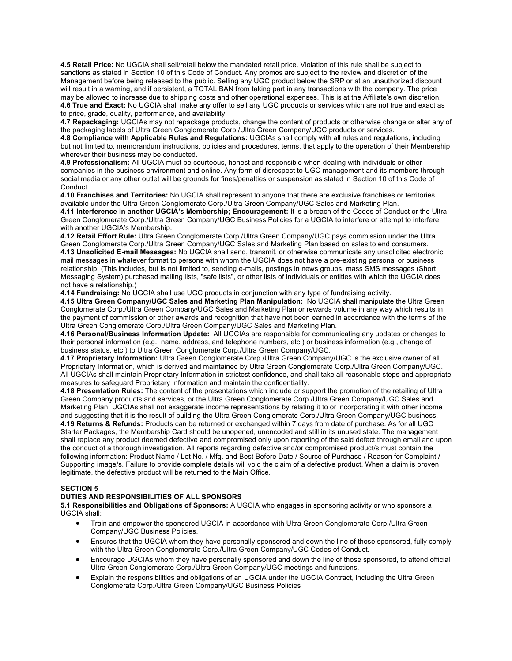**4.5 Retail Price:** No UGCIA shall sell/retail below the mandated retail price. Violation of this rule shall be subject to sanctions as stated in Section 10 of this Code of Conduct. Any promos are subject to the review and discretion of the Management before being released to the public. Selling any UGC product below the SRP or at an unauthorized discount will result in a warning, and if persistent, a TOTAL BAN from taking part in any transactions with the company. The price may be allowed to increase due to shipping costs and other operational expenses. This is at the Affiliate's own discretion. **4.6 True and Exact:** No UGCIA shall make any offer to sell any UGC products or services which are not true and exact as to price, grade, quality, performance, and availability.

**4.7 Repackaging:** UGCIAs may not repackage products, change the content of products or otherwise change or alter any of the packaging labels of Ultra Green Conglomerate Corp./Ultra Green Company/UGC products or services.

**4.8 Compliance with Applicable Rules and Regulations:** UGCIAs shall comply with all rules and regulations, including but not limited to, memorandum instructions, policies and procedures, terms, that apply to the operation of their Membership wherever their business may be conducted.

**4.9 Professionalism:** All UGCIA must be courteous, honest and responsible when dealing with individuals or other companies in the business environment and online. Any form of disrespect to UGC management and its members through social media or any other outlet will be grounds for fines/penalties or suspension as stated in Section 10 of this Code of Conduct.

**4.10 Franchises and Territories:** No UGCIA shall represent to anyone that there are exclusive franchises or territories available under the Ultra Green Conglomerate Corp./Ultra Green Company/UGC Sales and Marketing Plan.

**4.11 Interference in another UGCIA's Membership; Encouragement:** It is a breach of the Codes of Conduct or the Ultra Green Conglomerate Corp./Ultra Green Company/UGC Business Policies for a UGCIA to interfere or attempt to interfere with another UGCIA's Membership.

**4.12 Retail Effort Rule:** Ultra Green Conglomerate Corp./Ultra Green Company/UGC pays commission under the Ultra Green Conglomerate Corp./Ultra Green Company/UGC Sales and Marketing Plan based on sales to end consumers. **4.13 Unsolicited E-mail Messages:** No UGCIA shall send, transmit, or otherwise communicate any unsolicited electronic mail messages in whatever format to persons with whom the UGCIA does not have a pre-existing personal or business relationship. (This includes, but is not limited to, sending e-mails, postings in news groups, mass SMS messages (Short Messaging System) purchased mailing lists, "safe lists", or other lists of individuals or entities with which the UGCIA does

not have a relationship.) **4.14 Fundraising:** No UGCIA shall use UGC products in conjunction with any type of fundraising activity.

**4.15 Ultra Green Company/UGC Sales and Marketing Plan Manipulation:** No UGCIA shall manipulate the Ultra Green Conglomerate Corp./Ultra Green Company/UGC Sales and Marketing Plan or rewards volume in any way which results in the payment of commission or other awards and recognition that have not been earned in accordance with the terms of the Ultra Green Conglomerate Corp./Ultra Green Company/UGC Sales and Marketing Plan.

**4.16 Personal/Business Information Update:** All UGCIAs are responsible for communicating any updates or changes to their personal information (e.g., name, address, and telephone numbers, etc.) or business information (e.g., change of business status, etc.) to Ultra Green Conglomerate Corp./Ultra Green Company/UGC.

**4.17 Proprietary Information:** Ultra Green Conglomerate Corp./Ultra Green Company/UGC is the exclusive owner of all Proprietary Information, which is derived and maintained by Ultra Green Conglomerate Corp./Ultra Green Company/UGC. All UGCIAs shall maintain Proprietary Information in strictest confidence, and shall take all reasonable steps and appropriate measures to safeguard Proprietary Information and maintain the confidentiality.

**4.18 Presentation Rules:** The content of the presentations which include or support the promotion of the retailing of Ultra Green Company products and services, or the Ultra Green Conglomerate Corp./Ultra Green Company/UGC Sales and Marketing Plan. UGCIAs shall not exaggerate income representations by relating it to or incorporating it with other income and suggesting that it is the result of building the Ultra Green Conglomerate Corp./Ultra Green Company/UGC business. **4.19 Returns & Refunds:** Products can be returned or exchanged within 7 days from date of purchase. As for all UGC Starter Packages, the Membership Card should be unopened, unencoded and still in its unused state. The management shall replace any product deemed defective and compromised only upon reporting of the said defect through email and upon the conduct of a thorough investigation. All reports regarding defective and/or compromised product/s must contain the following information: Product Name / Lot No. / Mfg. and Best Before Date / Source of Purchase / Reason for Complaint / Supporting image/s. Failure to provide complete details will void the claim of a defective product. When a claim is proven legitimate, the defective product will be returned to the Main Office.

## **SECTION 5**

## **DUTIES AND RESPONSIBILITIES OF ALL SPONSORS**

**5.1 Responsibilities and Obligations of Sponsors:** A UGCIA who engages in sponsoring activity or who sponsors a UGCIA shall:

- Train and empower the sponsored UGCIA in accordance with Ultra Green Conglomerate Corp./Ultra Green Company/UGC Business Policies.
- Ensures that the UGCIA whom they have personally sponsored and down the line of those sponsored, fully comply with the Ultra Green Conglomerate Corp./Ultra Green Company/UGC Codes of Conduct.
- Encourage UGCIAs whom they have personally sponsored and down the line of those sponsored, to attend official Ultra Green Conglomerate Corp./Ultra Green Company/UGC meetings and functions.
- Explain the responsibilities and obligations of an UGCIA under the UGCIA Contract, including the Ultra Green Conglomerate Corp./Ultra Green Company/UGC Business Policies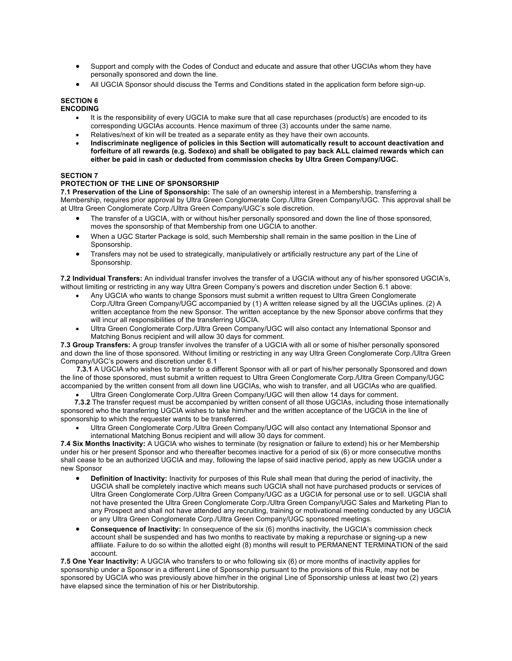- Support and comply with the Codes of Conduct and educate and assure that other UGCIAs whom they have personally sponsored and down the line.
- All UGCIA Sponsor should discuss the Terms and Conditions stated in the application form before sign-up.

# **SECTION 6**

**ENCODING**

- It is the responsibility of every UGCIA to make sure that all case repurchases (product/s) are encoded to its corresponding UGCIAs accounts. Hence maximum of three (3) accounts under the same name.
- Relatives/next of kin will be treated as a separate entity as they have their own accounts.
- **Indiscriminate negligence of policies in this Section will automatically result to account deactivation and forfeiture of all rewards (e.g. Sodexo) and shall be obligated to pay back ALL claimed rewards which can either be paid in cash or deducted from commission checks by Ultra Green Company/UGC.**

## **SECTION 7**

# **PROTECTION OF THE LINE OF SPONSORSHIP**

**7.1 Preservation of the Line of Sponsorship:** The sale of an ownership interest in a Membership, transferring a Membership, requires prior approval by Ultra Green Conglomerate Corp./Ultra Green Company/UGC. This approval shall be at Ultra Green Conglomerate Corp./Ultra Green Company/UGC's sole discretion.

- The transfer of a UGCIA, with or without his/her personally sponsored and down the line of those sponsored, moves the sponsorship of that Membership from one UGCIA to another.
- When a UGC Starter Package is sold, such Membership shall remain in the same position in the Line of Sponsorship.
- Transfers may not be used to strategically, manipulatively or artificially restructure any part of the Line of Sponsorship.

**7.2 Individual Transfers:** An individual transfer involves the transfer of a UGCIA without any of his/her sponsored UGCIA's, without limiting or restricting in any way Ultra Green Company's powers and discretion under Section 6.1 above:

- Any UGCIA who wants to change Sponsors must submit a written request to Ultra Green Conglomerate Corp./Ultra Green Company/UGC accompanied by (1) A written release signed by all the UGCIAs uplines. (2) A written acceptance from the new Sponsor. The written acceptance by the new Sponsor above confirms that they will incur all responsibilities of the transferring UGCIA.
- Ultra Green Conglomerate Corp./Ultra Green Company/UGC will also contact any International Sponsor and Matching Bonus recipient and will allow 30 days for comment.

**7.3 Group Transfers:** A group transfer involves the transfer of a UGCIA with all or some of his/her personally sponsored and down the line of those sponsored. Without limiting or restricting in any way Ultra Green Conglomerate Corp./Ultra Green Company/UGC's powers and discretion under 6.1

 **7.3.1** A UGCIA who wishes to transfer to a different Sponsor with all or part of his/her personally Sponsored and down the line of those sponsored, must submit a written request to Ultra Green Conglomerate Corp./Ultra Green Company/UGC accompanied by the written consent from all down line UGCIAs, who wish to transfer, and all UGCIAs who are qualified.

• Ultra Green Conglomerate Corp./Ultra Green Company/UGC will then allow 14 days for comment.

 **7.3.2** The transfer request must be accompanied by written consent of all those UGCIAs, including those internationally sponsored who the transferring UGCIA wishes to take him/her and the written acceptance of the UGCIA in the line of sponsorship to which the requester wants to be transferred.

• Ultra Green Conglomerate Corp./Ultra Green Company/UGC will also contact any International Sponsor and international Matching Bonus recipient and will allow 30 days for comment.

**7.4 Six Months Inactivity:** A UGCIA who wishes to terminate (by resignation or failure to extend) his or her Membership under his or her present Sponsor and who thereafter becomes inactive for a period of six (6) or more consecutive months shall cease to be an authorized UGCIA and may, following the lapse of said inactive period, apply as new UGCIA under a new Sponsor

- **Definition of Inactivity:** Inactivity for purposes of this Rule shall mean that during the period of inactivity, the UGCIA shall be completely inactive which means such UGCIA shall not have purchased products or services of Ultra Green Conglomerate Corp./Ultra Green Company/UGC as a UGCIA for personal use or to sell. UGCIA shall not have presented the Ultra Green Conglomerate Corp./Ultra Green Company/UGC Sales and Marketing Plan to any Prospect and shall not have attended any recruiting, training or motivational meeting conducted by any UGCIA or any Ultra Green Conglomerate Corp./Ultra Green Company/UGC sponsored meetings.
- **Consequence of Inactivity:** In consequence of the six (6) months inactivity, the UGCIA's commission check account shall be suspended and has two months to reactivate by making a repurchase or signing-up a new affiliate. Failure to do so within the allotted eight (8) months will result to PERMANENT TERMINATION of the said account.

**7.5 One Year Inactivity:** A UGCIA who transfers to or who following six (6) or more months of inactivity applies for sponsorship under a Sponsor in a different Line of Sponsorship pursuant to the provisions of this Rule, may not be sponsored by UGCIA who was previously above him/her in the original Line of Sponsorship unless at least two (2) years have elapsed since the termination of his or her Distributorship.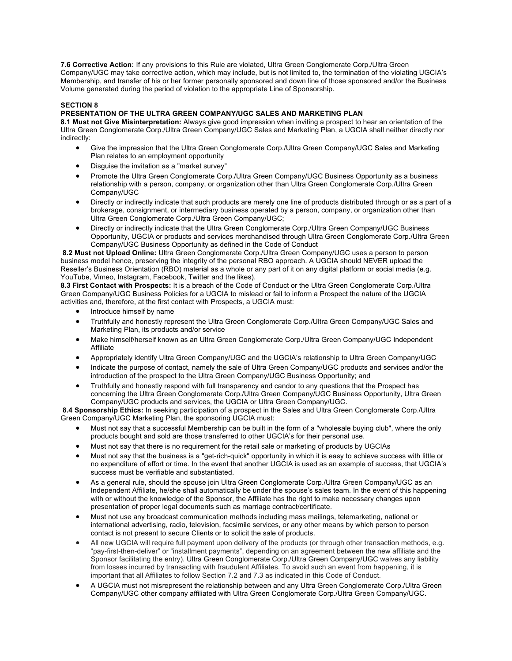**7.6 Corrective Action:** If any provisions to this Rule are violated, Ultra Green Conglomerate Corp./Ultra Green Company/UGC may take corrective action, which may include, but is not limited to, the termination of the violating UGCIA's Membership, and transfer of his or her former personally sponsored and down line of those sponsored and/or the Business Volume generated during the period of violation to the appropriate Line of Sponsorship.

# **SECTION 8**

# **PRESENTATION OF THE ULTRA GREEN COMPANY/UGC SALES AND MARKETING PLAN**

**8.1 Must not Give Misinterpretation:** Always give good impression when inviting a prospect to hear an orientation of the Ultra Green Conglomerate Corp./Ultra Green Company/UGC Sales and Marketing Plan, a UGCIA shall neither directly nor indirectly:

- Give the impression that the Ultra Green Conglomerate Corp./Ultra Green Company/UGC Sales and Marketing Plan relates to an employment opportunity
- Disguise the invitation as a "market survey"
- Promote the Ultra Green Conglomerate Corp./Ultra Green Company/UGC Business Opportunity as a business relationship with a person, company, or organization other than Ultra Green Conglomerate Corp./Ultra Green Company/UGC
- Directly or indirectly indicate that such products are merely one line of products distributed through or as a part of a brokerage, consignment, or intermediary business operated by a person, company, or organization other than Ultra Green Conglomerate Corp./Ultra Green Company/UGC;
- Directly or indirectly indicate that the Ultra Green Conglomerate Corp./Ultra Green Company/UGC Business Opportunity, UGCIA or products and services merchandised through Ultra Green Conglomerate Corp./Ultra Green Company/UGC Business Opportunity as defined in the Code of Conduct

**8.2 Must not Upload Online:** Ultra Green Conglomerate Corp./Ultra Green Company/UGC uses a person to person business model hence, preserving the integrity of the personal RBO approach. A UGCIA should NEVER upload the Reseller's Business Orientation (RBO) material as a whole or any part of it on any digital platform or social media (e.g. YouTube, Vimeo, Instagram, Facebook, Twitter and the likes).

**8.3 First Contact with Prospects:** It is a breach of the Code of Conduct or the Ultra Green Conglomerate Corp./Ultra Green Company/UGC Business Policies for a UGCIA to mislead or fail to inform a Prospect the nature of the UGCIA activities and, therefore, at the first contact with Prospects, a UGCIA must:

- Introduce himself by name
- Truthfully and honestly represent the Ultra Green Conglomerate Corp./Ultra Green Company/UGC Sales and Marketing Plan, its products and/or service
- Make himself/herself known as an Ultra Green Conglomerate Corp./Ultra Green Company/UGC Independent Affiliate
- Appropriately identify Ultra Green Company/UGC and the UGCIA's relationship to Ultra Green Company/UGC
- Indicate the purpose of contact, namely the sale of Ultra Green Company/UGC products and services and/or the introduction of the prospect to the Ultra Green Company/UGC Business Opportunity; and
- Truthfully and honestly respond with full transparency and candor to any questions that the Prospect has concerning the Ultra Green Conglomerate Corp./Ultra Green Company/UGC Business Opportunity, Ultra Green Company/UGC products and services, the UGCIA or Ultra Green Company/UGC.

**8.4 Sponsorship Ethics:** In seeking participation of a prospect in the Sales and Ultra Green Conglomerate Corp./Ultra Green Company/UGC Marketing Plan, the sponsoring UGCIA must:

- Must not say that a successful Membership can be built in the form of a "wholesale buying club", where the only products bought and sold are those transferred to other UGCIA's for their personal use.
- Must not say that there is no requirement for the retail sale or marketing of products by UGCIAs
- Must not say that the business is a "get-rich-quick" opportunity in which it is easy to achieve success with little or no expenditure of effort or time. In the event that another UGCIA is used as an example of success, that UGCIA's success must be verifiable and substantiated.
- As a general rule, should the spouse join Ultra Green Conglomerate Corp./Ultra Green Company/UGC as an Independent Affiliate, he/she shall automatically be under the spouse's sales team. In the event of this happening with or without the knowledge of the Sponsor, the Affiliate has the right to make necessary changes upon presentation of proper legal documents such as marriage contract/certificate.
- Must not use any broadcast communication methods including mass mailings, telemarketing, national or international advertising, radio, television, facsimile services, or any other means by which person to person contact is not present to secure Clients or to solicit the sale of products.
- All new UGCIA will require full payment upon delivery of the products (or through other transaction methods, e.g. "pay-first-then-deliver" or "installment payments", depending on an agreement between the new affiliate and the Sponsor facilitating the entry). Ultra Green Conglomerate Corp./Ultra Green Company/UGC waives any liability from losses incurred by transacting with fraudulent Affiliates. To avoid such an event from happening, it is important that all Affiliates to follow Section 7.2 and 7.3 as indicated in this Code of Conduct.
- A UGCIA must not misrepresent the relationship between and any Ultra Green Conglomerate Corp./Ultra Green Company/UGC other company affiliated with Ultra Green Conglomerate Corp./Ultra Green Company/UGC.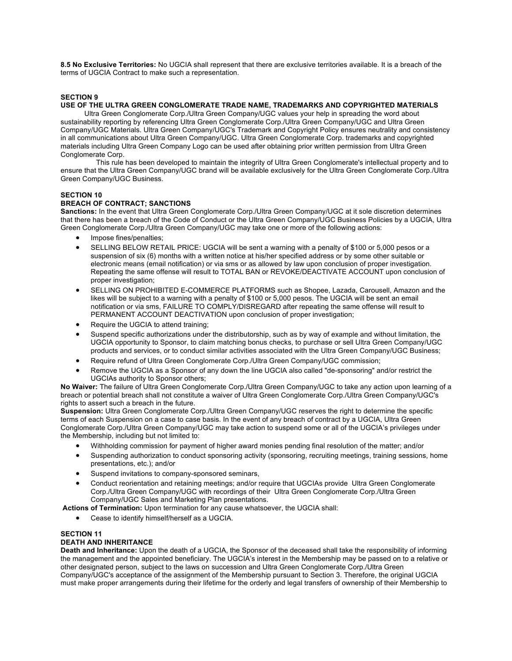**8.5 No Exclusive Territories:** No UGCIA shall represent that there are exclusive territories available. It is a breach of the terms of UGCIA Contract to make such a representation.

## **SECTION 9**

## **USE OF THE ULTRA GREEN CONGLOMERATE TRADE NAME, TRADEMARKS AND COPYRIGHTED MATERIALS**

Ultra Green Conglomerate Corp./Ultra Green Company/UGC values your help in spreading the word about sustainability reporting by referencing Ultra Green Conglomerate Corp./Ultra Green Company/UGC and Ultra Green Company/UGC Materials. Ultra Green Company/UGC's Trademark and Copyright Policy ensures neutrality and consistency in all communications about Ultra Green Company/UGC. Ultra Green Conglomerate Corp. trademarks and copyrighted materials including Ultra Green Company Logo can be used after obtaining prior written permission from Ultra Green Conglomerate Corp.

This rule has been developed to maintain the integrity of Ultra Green Conglomerate's intellectual property and to ensure that the Ultra Green Company/UGC brand will be available exclusively for the Ultra Green Conglomerate Corp./Ultra Green Company/UGC Business.

## **SECTION 10**

## **BREACH OF CONTRACT; SANCTIONS**

**Sanctions:** In the event that Ultra Green Conglomerate Corp./Ultra Green Company/UGC at it sole discretion determines that there has been a breach of the Code of Conduct or the Ultra Green Company/UGC Business Policies by a UGCIA, Ultra Green Conglomerate Corp./Ultra Green Company/UGC may take one or more of the following actions:

- Impose fines/penalties;
- SELLING BELOW RETAIL PRICE: UGCIA will be sent a warning with a penalty of \$100 or 5,000 pesos or a suspension of six (6) months with a written notice at his/her specified address or by some other suitable or electronic means (email notification) or via sms or as allowed by law upon conclusion of proper investigation. Repeating the same offense will result to TOTAL BAN or REVOKE/DEACTIVATE ACCOUNT upon conclusion of proper investigation;
- SELLING ON PROHIBITED E-COMMERCE PLATFORMS such as Shopee, Lazada, Carousell, Amazon and the likes will be subject to a warning with a penalty of \$100 or 5,000 pesos. The UGCIA will be sent an email notification or via sms, FAILURE TO COMPLY/DISREGARD after repeating the same offense will result to PERMANENT ACCOUNT DEACTIVATION upon conclusion of proper investigation;
- Require the UGCIA to attend training;
- Suspend specific authorizations under the distributorship, such as by way of example and without limitation, the UGCIA opportunity to Sponsor, to claim matching bonus checks, to purchase or sell Ultra Green Company/UGC products and services, or to conduct similar activities associated with the Ultra Green Company/UGC Business;
- Require refund of Ultra Green Conglomerate Corp./Ultra Green Company/UGC commission;
- Remove the UGCIA as a Sponsor of any down the line UGCIA also called "de-sponsoring" and/or restrict the UGCIAs authority to Sponsor others;

**No Waiver:** The failure of Ultra Green Conglomerate Corp./Ultra Green Company/UGC to take any action upon learning of a breach or potential breach shall not constitute a waiver of Ultra Green Conglomerate Corp./Ultra Green Company/UGC's rights to assert such a breach in the future.

**Suspension:** Ultra Green Conglomerate Corp./Ultra Green Company/UGC reserves the right to determine the specific terms of each Suspension on a case to case basis. In the event of any breach of contract by a UGCIA, Ultra Green Conglomerate Corp./Ultra Green Company/UGC may take action to suspend some or all of the UGCIA's privileges under the Membership, including but not limited to:

- Withholding commission for payment of higher award monies pending final resolution of the matter; and/or
- Suspending authorization to conduct sponsoring activity (sponsoring, recruiting meetings, training sessions, home presentations, etc.); and/or
- Suspend invitations to company-sponsored seminars,
- Conduct reorientation and retaining meetings; and/or require that UGCIAs provide Ultra Green Conglomerate Corp./Ultra Green Company/UGC with recordings of their Ultra Green Conglomerate Corp./Ultra Green Company/UGC Sales and Marketing Plan presentations.

**Actions of Termination:** Upon termination for any cause whatsoever, the UGCIA shall:

• Cease to identify himself/herself as a UGCIA.

## **SECTION 11**

## **DEATH AND INHERITANCE**

**Death and Inheritance:** Upon the death of a UGCIA, the Sponsor of the deceased shall take the responsibility of informing the management and the appointed beneficiary. The UGCIA's interest in the Membership may be passed on to a relative or other designated person, subject to the laws on succession and Ultra Green Conglomerate Corp./Ultra Green Company/UGC's acceptance of the assignment of the Membership pursuant to Section 3. Therefore, the original UGCIA must make proper arrangements during their lifetime for the orderly and legal transfers of ownership of their Membership to